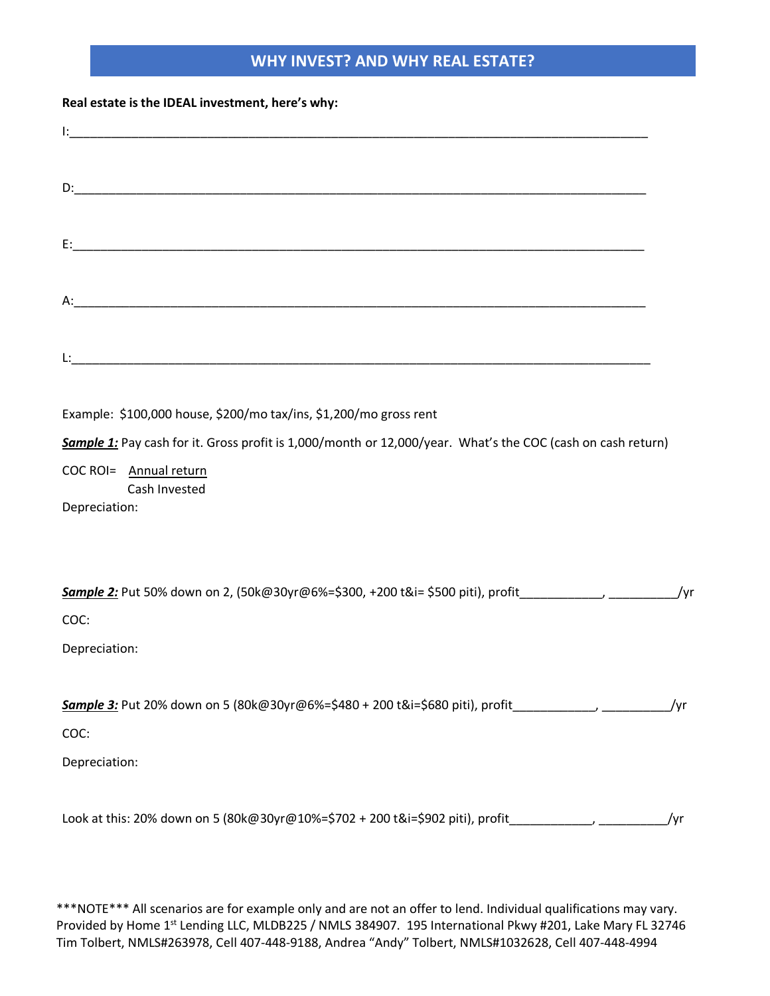## **WHY INVEST? AND WHY REAL ESTATE?**

## **Real estate is the IDEAL investment, here's why:**

| Example: \$100,000 house, \$200/mo tax/ins, \$1,200/mo gross rent                                                                                                       |     |
|-------------------------------------------------------------------------------------------------------------------------------------------------------------------------|-----|
| Sample 1: Pay cash for it. Gross profit is 1,000/month or 12,000/year. What's the COC (cash on cash return)<br>COC ROI= Annual return<br>Cash Invested<br>Depreciation: |     |
| <b>Sample 2:</b> Put 50% down on 2, (50k@30yr@6%=\$300, +200 t&i= \$500 piti), profit____________________________/yr                                                    |     |
| COC:<br>Depreciation:                                                                                                                                                   |     |
|                                                                                                                                                                         | /yr |
| COC:<br>Depreciation:                                                                                                                                                   |     |
| Look at this: 20% down on 5 (80k@30yr@10%=\$702 + 200 t&i=\$902 piti), profit                                                                                           | /yr |

\*\*\*NOTE\*\*\* All scenarios are for example only and are not an offer to lend. Individual qualifications may vary. Provided by Home 1st Lending LLC, MLDB225 / NMLS 384907. 195 International Pkwy #201, Lake Mary FL 32746 Tim Tolbert, NMLS#263978, Cell 407-448-9188, Andrea "Andy" Tolbert, NMLS#1032628, Cell 407-448-4994